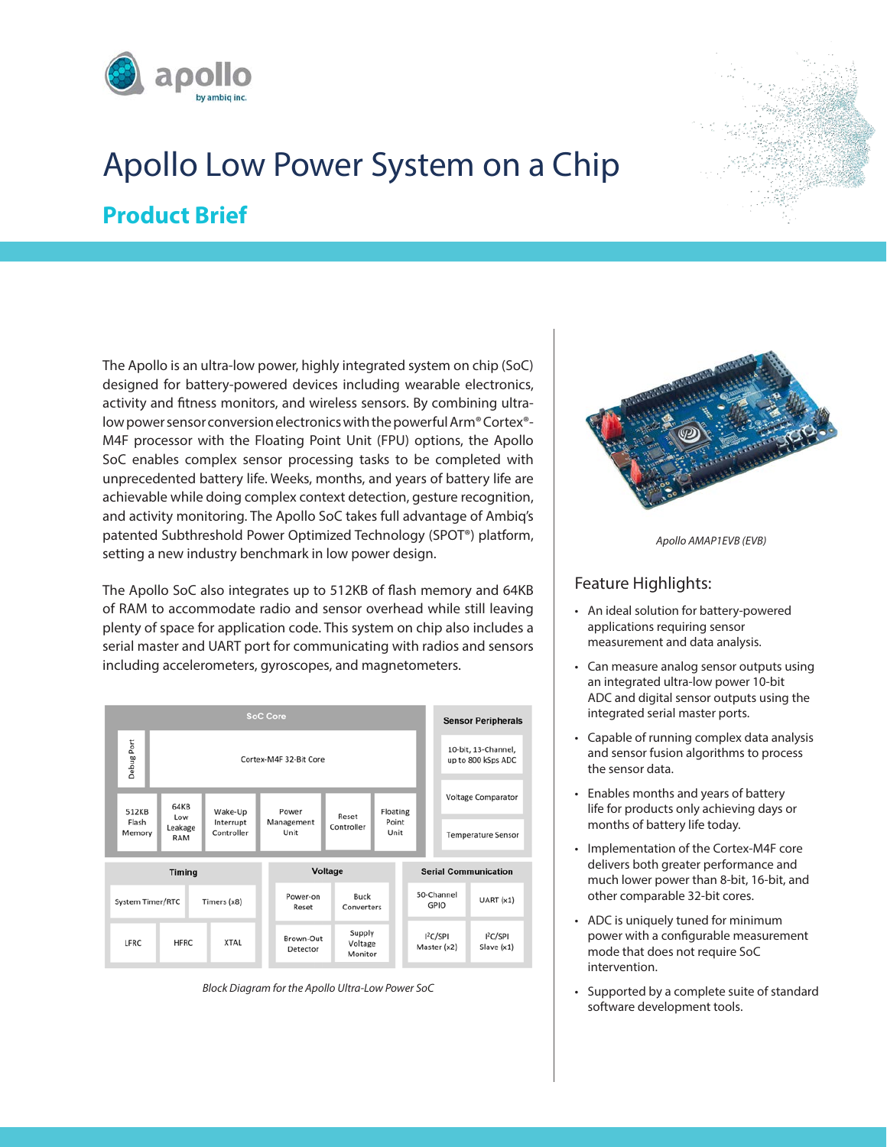





The Apollo is an ultra-low power, highly integrated system on chip (SoC) designed for battery-powered devices including wearable electronics, activity and fitness monitors, and wireless sensors. By combining ultralow power sensor conversion electronics with the powerful Arm® Cortex®- M4F processor with the Floating Point Unit (FPU) options, the Apollo SoC enables complex sensor processing tasks to be completed with unprecedented battery life. Weeks, months, and years of battery life are achievable while doing complex context detection, gesture recognition, and activity monitoring. The Apollo SoC takes full advantage of Ambiq's patented Subthreshold Power Optimized Technology (SPOT®) platform, setting a new industry benchmark in low power design.

The Apollo SoC also integrates up to 512KB of flash memory and 64KB of RAM to accommodate radio and sensor overhead while still leaving plenty of space for application code. This system on chip also includes a serial master and UART port for communicating with radios and sensors including accelerometers, gyroscopes, and magnetometers.



*Block Diagram for the Apollo Ultra-Low Power SoC*



*Apollo AMAP1EVB (EVB)*

# Feature Highlights:

- An ideal solution for battery-powered applications requiring sensor measurement and data analysis.
- Can measure analog sensor outputs using an integrated ultra-low power 10-bit ADC and digital sensor outputs using the integrated serial master ports.
- Capable of running complex data analysis and sensor fusion algorithms to process the sensor data.
- Enables months and years of battery life for products only achieving days or months of battery life today.
- Implementation of the Cortex-M4F core delivers both greater performance and much lower power than 8-bit, 16-bit, and other comparable 32-bit cores.
- ADC is uniquely tuned for minimum power with a configurable measurement mode that does not require SoC intervention.
- Supported by a complete suite of standard software development tools.